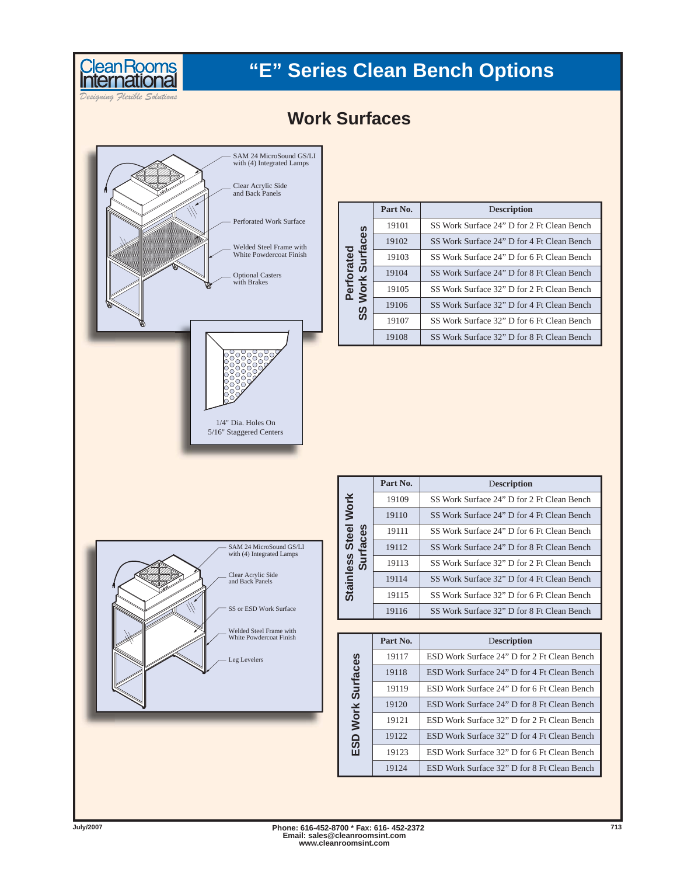# Clean Rooms<br>International

## **"E" Series Clean Bench Options**

*Designing Flexible Solutions*



| <b>Surfaces</b> | Part No. | Description                                |
|-----------------|----------|--------------------------------------------|
|                 | 19101    | SS Work Surface 24" D for 2 Ft Clean Bench |
|                 | 19102    | SS Work Surface 24" D for 4 Ft Clean Bench |
| ā               | 19103    | SS Work Surface 24" D for 6 Ft Clean Bench |
| O               | 19104    | SS Work Surface 24" D for 8 Ft Clean Bench |
| <b>Work</b>     | 19105    | SS Work Surface 32" D for 2 Ft Clean Bench |
| SS              | 19106    | SS Work Surface 32" D for 4 Ft Clean Bench |
|                 | 19107    | SS Work Surface 32" D for 6 Ft Clean Bench |
|                 | 19108    | SS Work Surface 32" D for 8 Ft Clean Bench |



|                    | Part No. | Description                                |
|--------------------|----------|--------------------------------------------|
| Work               | 19109    | SS Work Surface 24" D for 2 Ft Clean Bench |
|                    | 19110    | SS Work Surface 24" D for 4 Ft Clean Bench |
| <b>Steel</b><br>ဖိ | 19111    | SS Work Surface 24" D for 6 Ft Clean Bench |
|                    | 19112    | SS Work Surface 24" D for 8 Ft Clean Bench |
| inless<br>ທ        | 19113    | SS Work Surface 32" D for 2 Ft Clean Bench |
|                    | 19114    | SS Work Surface 32" D for 4 Ft Clean Bench |
| Stāi               | 19115    | SS Work Surface 32" D for 6 Ft Clean Bench |
|                    | 19116    | SS Work Surface 32" D for 8 Ft Clean Bench |

|                 | Part No. | Description                                 |
|-----------------|----------|---------------------------------------------|
|                 | 19117    | ESD Work Surface 24" D for 2 Ft Clean Bench |
| <b>Surfaces</b> | 19118    | ESD Work Surface 24" D for 4 Ft Clean Bench |
|                 | 19119    | ESD Work Surface 24" D for 6 Ft Clean Bench |
|                 | 19120    | ESD Work Surface 24" D for 8 Ft Clean Bench |
| <b>Work</b>     | 19121    | ESD Work Surface 32" D for 2 Ft Clean Bench |
| ≏               | 19122    | ESD Work Surface 32" D for 4 Ft Clean Bench |
| S<br>ш          | 19123    | ESD Work Surface 32" D for 6 Ft Clean Bench |
|                 | 19124    | ESD Work Surface 32" D for 8 Ft Clean Bench |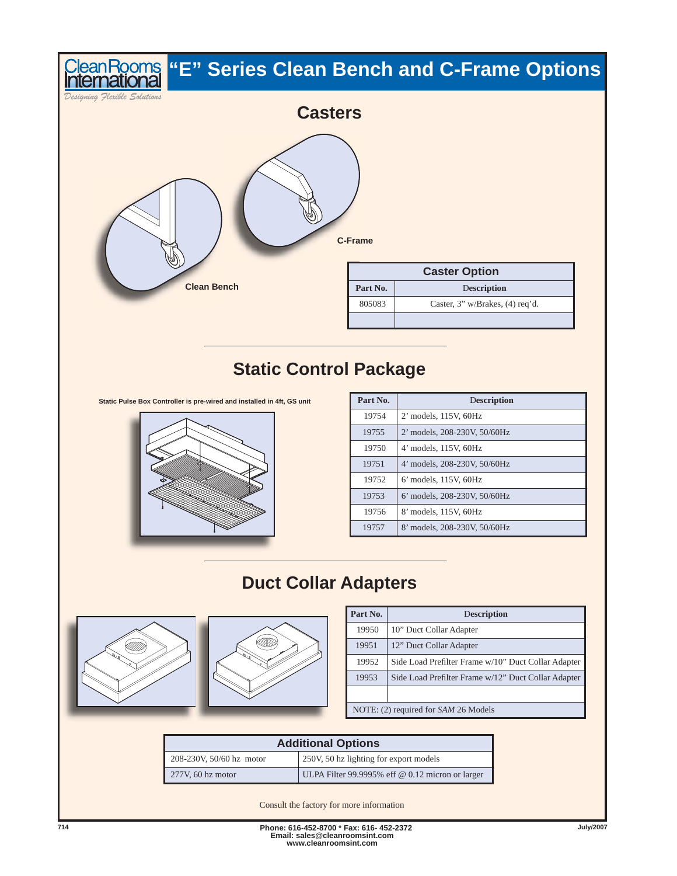